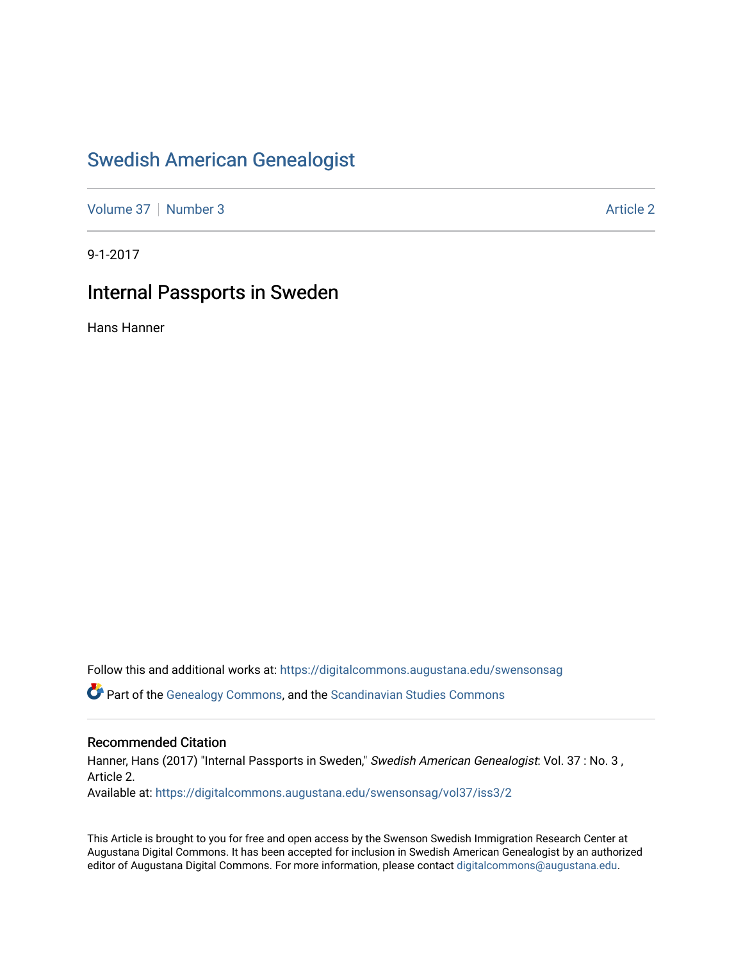### [Swedish American Genealogist](https://digitalcommons.augustana.edu/swensonsag)

[Volume 37](https://digitalcommons.augustana.edu/swensonsag/vol37) | [Number 3](https://digitalcommons.augustana.edu/swensonsag/vol37/iss3) Article 2

9-1-2017

# Internal Passports in Sweden

Hans Hanner

Follow this and additional works at: [https://digitalcommons.augustana.edu/swensonsag](https://digitalcommons.augustana.edu/swensonsag?utm_source=digitalcommons.augustana.edu%2Fswensonsag%2Fvol37%2Fiss3%2F2&utm_medium=PDF&utm_campaign=PDFCoverPages) 

Part of the [Genealogy Commons,](http://network.bepress.com/hgg/discipline/1342?utm_source=digitalcommons.augustana.edu%2Fswensonsag%2Fvol37%2Fiss3%2F2&utm_medium=PDF&utm_campaign=PDFCoverPages) and the [Scandinavian Studies Commons](http://network.bepress.com/hgg/discipline/485?utm_source=digitalcommons.augustana.edu%2Fswensonsag%2Fvol37%2Fiss3%2F2&utm_medium=PDF&utm_campaign=PDFCoverPages)

#### Recommended Citation

Hanner, Hans (2017) "Internal Passports in Sweden," Swedish American Genealogist: Vol. 37 : No. 3, Article 2. Available at: [https://digitalcommons.augustana.edu/swensonsag/vol37/iss3/2](https://digitalcommons.augustana.edu/swensonsag/vol37/iss3/2?utm_source=digitalcommons.augustana.edu%2Fswensonsag%2Fvol37%2Fiss3%2F2&utm_medium=PDF&utm_campaign=PDFCoverPages) 

This Article is brought to you for free and open access by the Swenson Swedish Immigration Research Center at Augustana Digital Commons. It has been accepted for inclusion in Swedish American Genealogist by an authorized editor of Augustana Digital Commons. For more information, please contact [digitalcommons@augustana.edu.](mailto:digitalcommons@augustana.edu)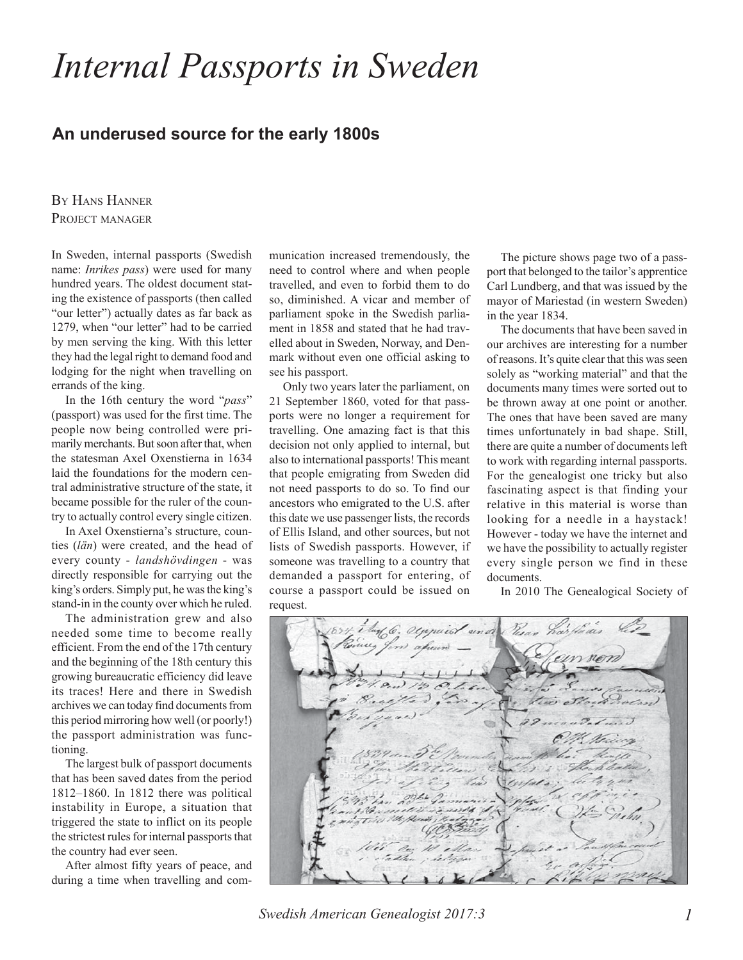# *Internal Passports in Sweden*

#### **An underused source for the early 1800s**

BY HANS HANNER PROJECT MANAGER

In Sweden, internal passports (Swedish name: *Inrikes pass*) were used for many hundred years. The oldest document stating the existence of passports (then called "our letter") actually dates as far back as 1279, when "our letter" had to be carried by men serving the king. With this letter they had the legal right to demand food and lodging for the night when travelling on errands of the king.

In the 16th century the word "*pass*" (passport) was used for the first time. The people now being controlled were primarily merchants. But soon after that, when the statesman Axel Oxenstierna in 1634 laid the foundations for the modern central administrative structure of the state, it became possible for the ruler of the country to actually control every single citizen.

In Axel Oxenstierna's structure, counties (*län*) were created, and the head of every county - *landshövdingen* - was directly responsible for carrying out the king's orders. Simply put, he was the king's stand-in in the county over which he ruled.

The administration grew and also needed some time to become really efficient. From the end of the 17th century and the beginning of the 18th century this growing bureaucratic efficiency did leave its traces! Here and there in Swedish archives we can today find documents from this period mirroring how well (or poorly!) the passport administration was functioning.

The largest bulk of passport documents that has been saved dates from the period 1812–1860. In 1812 there was political instability in Europe, a situation that triggered the state to inflict on its people the strictest rules for internal passports that the country had ever seen.

After almost fifty years of peace, and during a time when travelling and com-

munication increased tremendously, the need to control where and when people travelled, and even to forbid them to do so, diminished. A vicar and member of parliament spoke in the Swedish parliament in 1858 and stated that he had travelled about in Sweden, Norway, and Denmark without even one official asking to see his passport.

Only two years later the parliament, on 21 September 1860, voted for that passports were no longer a requirement for travelling. One amazing fact is that this decision not only applied to internal, but also to international passports! This meant that people emigrating from Sweden did not need passports to do so. To find our ancestors who emigrated to the U.S. after this date we use passenger lists, the records of Ellis Island, and other sources, but not lists of Swedish passports. However, if someone was travelling to a country that demanded a passport for entering, of course a passport could be issued on request.

The picture shows page two of a passport that belonged to the tailor's apprentice Carl Lundberg, and that was issued by the mayor of Mariestad (in western Sweden) in the year 1834.

The documents that have been saved in our archives are interesting for a number of reasons. It's quite clear that this was seen solely as "working material" and that the documents many times were sorted out to be thrown away at one point or another. The ones that have been saved are many times unfortunately in bad shape. Still, there are quite a number of documents left to work with regarding internal passports. For the genealogist one tricky but also fascinating aspect is that finding your relative in this material is worse than looking for a needle in a haystack! However - today we have the internet and we have the possibility to actually register every single person we find in these documents.

In 2010 The Genealogical Society of

of 6. Uppuis

*Swedish American Genealogist 2017:3 1*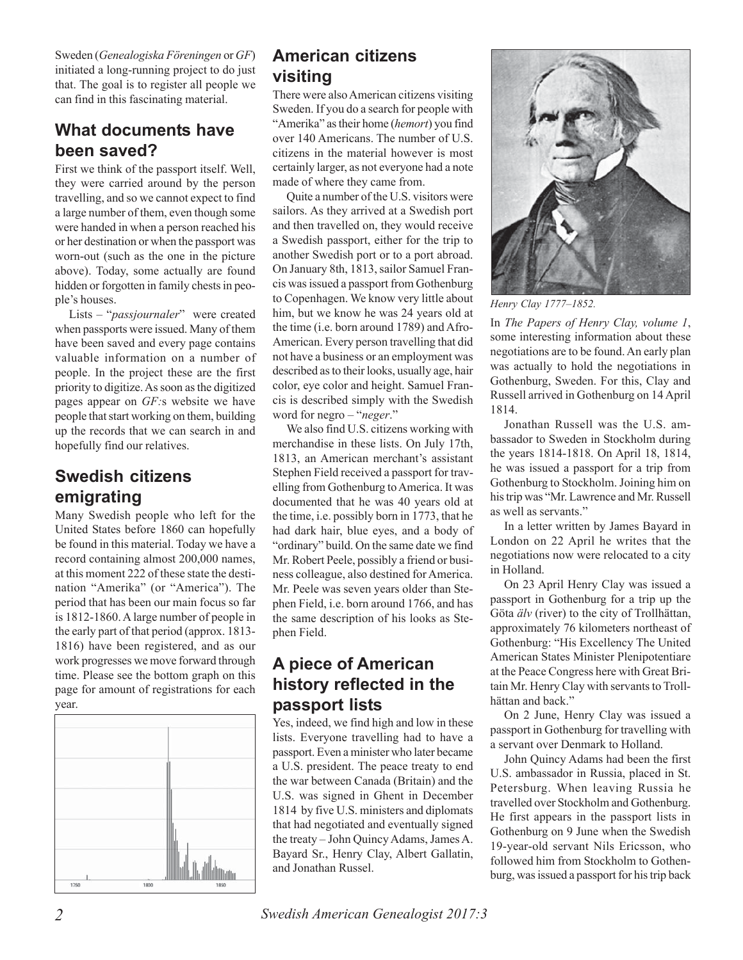Sweden (*Genealogiska Föreningen* or *GF*) initiated a long-running project to do just that. The goal is to register all people we can find in this fascinating material.

#### **What documents have been saved?**

First we think of the passport itself. Well, they were carried around by the person travelling, and so we cannot expect to find a large number of them, even though some were handed in when a person reached his or her destination or when the passport was worn-out (such as the one in the picture above). Today, some actually are found hidden or forgotten in family chests in people's houses.

Lists – "*passjournaler*" were created when passports were issued. Many of them have been saved and every page contains valuable information on a number of people. In the project these are the first priority to digitize. As soon as the digitized pages appear on *GF:*s website we have people that start working on them, building up the records that we can search in and hopefully find our relatives.

#### **Swedish citizens emigrating**

Many Swedish people who left for the United States before 1860 can hopefully be found in this material. Today we have a record containing almost 200,000 names, at this moment 222 of these state the destination "Amerika" (or "America"). The period that has been our main focus so far is 1812-1860. A large number of people in the early part of that period (approx. 1813- 1816) have been registered, and as our work progresses we move forward through time. Please see the bottom graph on this page for amount of registrations for each year.



## **American citizens visiting**

There were also American citizens visiting Sweden. If you do a search for people with "Amerika" as their home (*hemort*) you find over 140 Americans. The number of U.S. citizens in the material however is most certainly larger, as not everyone had a note made of where they came from.

Quite a number of the U.S. visitors were sailors. As they arrived at a Swedish port and then travelled on, they would receive a Swedish passport, either for the trip to another Swedish port or to a port abroad. On January 8th, 1813, sailor Samuel Francis was issued a passport from Gothenburg to Copenhagen. We know very little about him, but we know he was 24 years old at the time (i.e. born around 1789) and Afro-American. Every person travelling that did not have a business or an employment was described as to their looks, usually age, hair color, eye color and height. Samuel Francis is described simply with the Swedish word for negro – "*neger*."

We also find U.S. citizens working with merchandise in these lists. On July 17th, 1813, an American merchant's assistant Stephen Field received a passport for travelling from Gothenburg to America. It was documented that he was 40 years old at the time, i.e. possibly born in 1773, that he had dark hair, blue eyes, and a body of "ordinary" build. On the same date we find Mr. Robert Peele, possibly a friend or business colleague, also destined for America. Mr. Peele was seven years older than Stephen Field, i.e. born around 1766, and has the same description of his looks as Stephen Field.

#### **A piece of American history reflected in the passport lists**

Yes, indeed, we find high and low in these lists. Everyone travelling had to have a passport. Even a minister who later became a U.S. president. The peace treaty to end the war between Canada (Britain) and the U.S. was signed in Ghent in December 1814 by five U.S. ministers and diplomats that had negotiated and eventually signed the treaty – John Quincy Adams, James A. Bayard Sr., Henry Clay, Albert Gallatin, and Jonathan Russel.



*Henry Clay 1777–1852.*

In *The Papers of Henry Clay, volume 1*, some interesting information about these negotiations are to be found. An early plan was actually to hold the negotiations in Gothenburg, Sweden. For this, Clay and Russell arrived in Gothenburg on 14 April 1814.

Jonathan Russell was the U.S. ambassador to Sweden in Stockholm during the years 1814-1818. On April 18, 1814, he was issued a passport for a trip from Gothenburg to Stockholm. Joining him on his trip was "Mr. Lawrence and Mr. Russell as well as servants."

In a letter written by James Bayard in London on 22 April he writes that the negotiations now were relocated to a city in Holland.

On 23 April Henry Clay was issued a passport in Gothenburg for a trip up the Göta *älv* (river) to the city of Trollhättan, approximately 76 kilometers northeast of Gothenburg: "His Excellency The United American States Minister Plenipotentiare at the Peace Congress here with Great Britain Mr. Henry Clay with servants to Trollhättan and back."

On 2 June, Henry Clay was issued a passport in Gothenburg for travelling with a servant over Denmark to Holland.

John Quincy Adams had been the first U.S. ambassador in Russia, placed in St. Petersburg. When leaving Russia he travelled over Stockholm and Gothenburg. He first appears in the passport lists in Gothenburg on 9 June when the Swedish 19-year-old servant Nils Ericsson, who followed him from Stockholm to Gothenburg, was issued a passport for his trip back